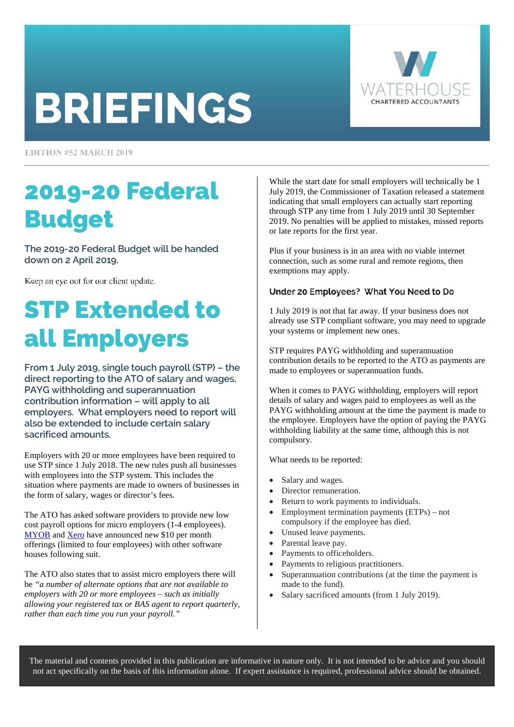# **BRIEFINGS**



**EDITION #52 MARCH 2019** 

### 2019-20 Federal Budget

**The 2019-20 Federal Budget will be handed down on 2 April 2019.** 

Keep an eye out for our client update.

# STP Extended to all Employers

**From 1 July 2019, single touch payroll (STP) – the direct reporting to the ATO of salary and wages, PAYG withholding and superannuation contribution information – will apply to all employers. What employers need to report will also be extended to include certain salary sacrificed amounts.** 

Employers with 20 or more employees have been required to use STP since 1 July 2018. The new rules push all businesses with employees into the STP system. This includes the situation where payments are made to owners of businesses in the form of salary, wages or director's fees.

The ATO has asked software providers to provide new low cost payroll options for micro employers (1-4 employees). [MYOB a](https://www.myob.com/au/support/single-touch-payroll)n[d Xero](https://www.xero.com/au/campaigns/single-touch-payroll/) have announced new \$10 per month offerings (limited to four employees) with other software houses following suit.

The ATO also states that to assist micro employers there will be *"a number of alternate options that are not available to employers with 20 or more employees – such as initially allowing your registered tax or BAS agent to report quarterly, rather than each time you run your payroll."* 

While the start date for small employers will technically be 1 July 2019, the Commissioner of Taxation released a statement indicating that small employers can actually start reporting through STP any time from 1 July 2019 until 30 September 2019. No penalties will be applied to mistakes, missed reports or late reports for the first year.

Plus if your business is in an area with no viable internet connection, such as some rural and remote regions, then exemptions may apply.

#### Under 20 Employees? What You Need to Do

1 July 2019 is not that far away. If your business does not already use STP compliant software, you may need to upgrade your systems or implement new ones.

STP requires PAYG withholding and superannuation contribution details to be reported to the ATO as payments are made to employees or superannuation funds.

When it comes to PAYG withholding, employers will report details of salary and wages paid to employees as well as the PAYG withholding amount at the time the payment is made to the employee. Employers have the option of paying the PAYG withholding liability at the same time, although this is not compulsory.

What needs to be reported:

- Salary and wages.
- Director remuneration.
- Return to work payments to individuals.
- Employment termination payments (ETPs) not compulsory if the employee has died.
- Unused leave payments.
- Parental leave pay.
- Payments to officeholders.
- Payments to religious practitioners.
- Superannuation contributions (at the time the payment is made to the fund).
- Salary sacrificed amounts (from 1 July 2019).

The material and contents provided in this publication are informative in nature only. It is not intended to be advice and you should not act specifically on the basis of this information alone. If expert assistance is required, professional advice should be obtained.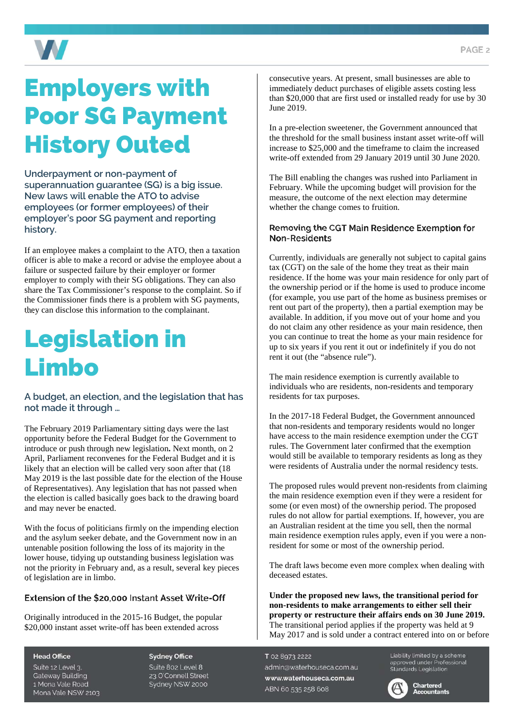

## Employers with Poor SG Payment History Outed

**Underpayment or non-payment of superannuation guarantee (SG) is a big issue. New laws will enable the ATO to advise employees (or former employees) of their employer's poor SG payment and reporting history.** 

If an employee makes a complaint to the ATO, then a taxation officer is able to make a record or advise the employee about a failure or suspected failure by their employer or former employer to comply with their SG obligations. They can also share the Tax Commissioner's response to the complaint. So if the Commissioner finds there is a problem with SG payments, they can disclose this information to the complainant.

### Legislation in Limbo

### **A budget, an election, and the legislation that has not made it through …**

The February 2019 Parliamentary sitting days were the last opportunity before the Federal Budget for the Government to introduce or push through new legislation**.** Next month, on 2 April, Parliament reconvenes for the Federal Budget and it is likely that an election will be called very soon after that (18 May 2019 is the last possible date for the election of the House of Representatives). Any legislation that has not passed when the election is called basically goes back to the drawing board and may never be enacted.

With the focus of politicians firmly on the impending election and the asylum seeker debate, and the Government now in an untenable position following the loss of its majority in the lower house, tidying up outstanding business legislation was not the priority in February and, as a result, several key pieces of legislation are in limbo.

### Extension of the \$20.000 Instant Asset Write-Off

Originally introduced in the 2015-16 Budget, the popular \$20,000 instant asset write-off has been extended across

consecutive years. At present, small businesses are able to immediately deduct purchases of eligible assets costing less than \$20,000 that are first used or installed ready for use by 30 June 2019.

In a pre-election sweetener, the Government announced that the threshold for the small business instant asset write-off will increase to \$25,000 and the timeframe to claim the increased write-off extended from 29 January 2019 until 30 June 2020.

The Bill enabling the changes was rushed into Parliament in February. While the upcoming budget will provision for the measure, the outcome of the next election may determine whether the change comes to fruition.

#### Removing the CGT Main Residence Exemption for **Non-Residents**

Currently, individuals are generally not subject to capital gains tax (CGT) on the sale of the home they treat as their main residence. If the home was your main residence for only part of the ownership period or if the home is used to produce income (for example, you use part of the home as business premises or rent out part of the property), then a partial exemption may be available. In addition, if you move out of your home and you do not claim any other residence as your main residence, then you can continue to treat the home as your main residence for up to six years if you rent it out or indefinitely if you do not rent it out (the "absence rule").

The main residence exemption is currently available to individuals who are residents, non-residents and temporary residents for tax purposes.

In the 2017-18 Federal Budget, the Government announced that non-residents and temporary residents would no longer have access to the main residence exemption under the CGT rules. The Government later confirmed that the exemption would still be available to temporary residents as long as they were residents of Australia under the normal residency tests.

The proposed rules would prevent non-residents from claiming the main residence exemption even if they were a resident for some (or even most) of the ownership period. The proposed rules do not allow for partial exemptions. If, however, you are an Australian resident at the time you sell, then the normal main residence exemption rules apply, even if you were a nonresident for some or most of the ownership period.

The draft laws become even more complex when dealing with deceased estates.

**Under the proposed new laws, the transitional period for non-residents to make arrangements to either sell their property or restructure their affairs ends on 30 June 2019.**  The transitional period applies if the property was held at 9 May 2017 and is sold under a contract entered into on or before

T 02 8973 2222 admin@waterhouseca.com.au www.waterhouseca.com.au ABN 60 535 258 608

Liability limited by a scheme approved under Professional<br>Standards Legislation



#### **Head Office**

Suite 12 Level 3. **Gateway Building** 1 Mona Vale Road Mona Vale NSW 2103

**Sydney Office** Suite 802 Level 8 23 O'Connell Street Sydney NSW 2000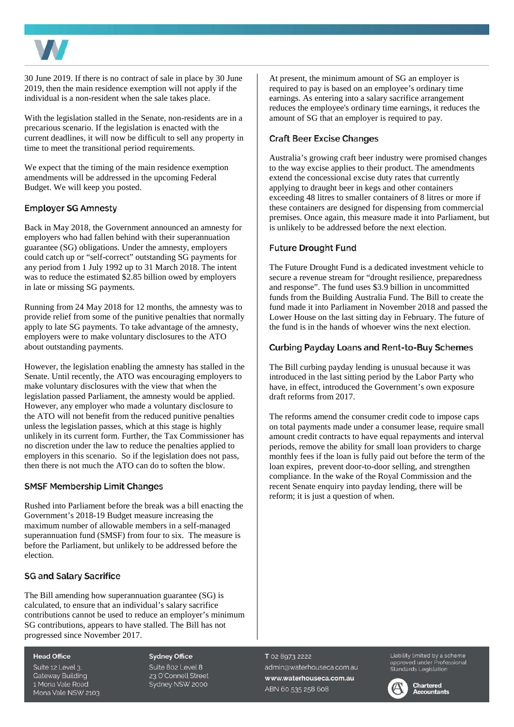

30 June 2019. If there is no contract of sale in place by 30 June 2019, then the main residence exemption will not apply if the individual is a non-resident when the sale takes place.

With the legislation stalled in the Senate, non-residents are in a precarious scenario. If the legislation is enacted with the current deadlines, it will now be difficult to sell any property in time to meet the transitional period requirements.

We expect that the timing of the main residence exemption amendments will be addressed in the upcoming Federal Budget. We will keep you posted.

#### **Employer SG Amnesty**

Back in May 2018, the Government announced an amnesty for employers who had fallen behind with their superannuation guarantee (SG) obligations. Under the amnesty, employers could catch up or "self-correct" outstanding SG payments for any period from 1 July 1992 up to 31 March 2018. The intent was to reduce the estimated \$2.85 billion owed by employers in late or missing SG payments.

Running from 24 May 2018 for 12 months, the amnesty was to provide relief from some of the punitive penalties that normally apply to late SG payments. To take advantage of the amnesty, employers were to make voluntary disclosures to the ATO about outstanding payments.

However, the legislation enabling the amnesty has stalled in the Senate. Until recently, the ATO was encouraging employers to make voluntary disclosures with the view that when the legislation passed Parliament, the amnesty would be applied. However, any employer who made a voluntary disclosure to the ATO will not benefit from the reduced punitive penalties unless the legislation passes, which at this stage is highly unlikely in its current form. Further, the Tax Commissioner has no discretion under the law to reduce the penalties applied to employers in this scenario. So if the legislation does not pass, then there is not much the ATO can do to soften the blow.

#### **SMSF Membership Limit Changes**

Rushed into Parliament before the break was a bill enacting the Government's 2018-19 Budget measure increasing the maximum number of allowable members in a self-managed superannuation fund (SMSF) from four to six. The measure is before the Parliament, but unlikely to be addressed before the election.

#### **SG and Salary Sacrifice**

The Bill amending how superannuation guarantee (SG) is calculated, to ensure that an individual's salary sacrifice contributions cannot be used to reduce an employer's minimum SG contributions, appears to have stalled. The Bill has not progressed since November 2017.

#### **Head Office**

Suite 12 Level 3. **Gateway Building** 1 Mona Vale Road Mona Vale NSW 2103

**Sydney Office** Suite 802 Level 8 23 O'Connell Street Sydney NSW 2000

At present, the minimum amount of SG an employer is required to pay is based on an employee's ordinary time earnings. As entering into a salary sacrifice arrangement reduces the employee's ordinary time earnings, it reduces the amount of SG that an employer is required to pay.

#### **Craft Beer Excise Changes**

Australia's growing craft beer industry were promised changes to the way excise applies to their product. The amendments extend the concessional excise duty rates that currently applying to draught beer in kegs and other containers exceeding 48 litres to smaller containers of 8 litres or more if these containers are designed for dispensing from commercial premises. Once again, this measure made it into Parliament, but is unlikely to be addressed before the next election.

#### **Future Drought Fund**

The Future Drought Fund is a dedicated investment vehicle to secure a revenue stream for "drought resilience, preparedness and response". The fund uses \$3.9 billion in uncommitted funds from the Building Australia Fund. The Bill to create the fund made it into Parliament in November 2018 and passed the Lower House on the last sitting day in February. The future of the fund is in the hands of whoever wins the next election.

#### **Curbing Payday Loans and Rent-to-Buy Schemes**

The Bill curbing payday lending is unusual because it was introduced in the last sitting period by the Labor Party who have, in effect, introduced the Government's own exposure draft reforms from 2017.

The reforms amend the consumer credit code to impose caps on total payments made under a consumer lease, require small amount credit contracts to have equal repayments and interval periods, remove the ability for small loan providers to charge monthly fees if the loan is fully paid out before the term of the loan expires, prevent door-to-door selling, and strengthen compliance. In the wake of the Royal Commission and the recent Senate enquiry into payday lending, there will be reform; it is just a question of when.

#### T 02 8973 2222 admin@waterhouseca.com.au www.waterhouseca.com.au ABN 60 535 258 608

Liability limited by a scheme approved under Professional<br>Standards Legislation



**Chartered Accountants**